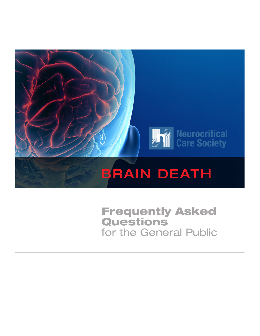

**Frequently Asked** Questions for the General Public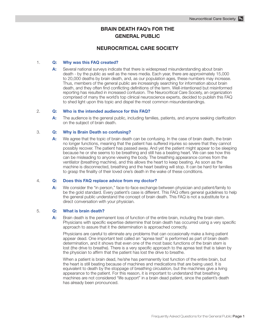# **BRAIN DEATH FAQ's FOR THE GENERAL PUBLIC**

## **NEUROCRITICAL CARE SOCIETY**

## 1. **Q: Why was this FAQ created?**

**A:** Several national surveys indicate that there is widespread misunderstanding about brain death - by the public as well as the news media. Each year, there are approximately 15,000 to 20,000 deaths by brain death, and, as our population ages, these numbers may increase. Thus, members of the general public are increasingly searching for information about brain death, and they often find conflicting definitions of the term. Well-intentioned but misinformed reporting has resulted in increased confusion. The Neurocritical Care Society, an organization comprised of many the world's top clinical neuroscience experts, decided to publish this FAQ to shed light upon this topic and dispel the most common misunderstandings.

## 2. **Q: Who is the intended audience for this FAQ?**

**A:** The audience is the general public, including families, patients, and anyone seeking clarification on the subject of brain death.

## 3. **Q: Why is Brain Death so confusing?**

**A:** We agree that the topic of brain death can be confusing. In the case of brain death, the brain no longer functions, meaning that the patient has suffered injuries so severe that they cannot possibly recover. The patient has passed away. And yet the patient might appear to be sleeping because he or she seems to be breathing and still has a beating heart. We can see how this can be misleading to anyone viewing the body. The breathing appearance comes from the ventilator (breathing machine), and this allows the heart to keep beating. As soon as the machine is disconnected, breathing and the heart beating will stop. It can be hard for families to grasp the finality of their loved one's death in the wake of these conditions.

## 4. **Q: Does this FAQ replace advice from my doctor?**

**A:** We consider the "in person," face-to-face exchange between physician and patient/family to be the gold standard. Every patient's case is different. This FAQ offers general guidelines to help the general public understand the concept of brain death. This FAQ is not a substitute for a direct conversation with your physician.

## 5. **Q: What is brain death?**

A: Brain death is the permanent loss of function of the entire brain, including the brain stem. Physicians with specific expertise determine that brain death has occurred using a very specific approach to assure that it the determination is approached correctly.

 Physicians are careful to eliminate any problems that can occasionally make a living patient appear dead. One important test called an "apnea test" is performed as part of brain death determination, and it shows that even one of the most basic functions of the brain stem is lost (the drive to breathe). There is a very specific approach to the apnea test that is taken by the physician to affirm that the patient has lost the drive to breathe.

 When a patient is brain dead, he/she has permanently lost function of the entire brain, but the heart is still beating because of machines and medications that are being used. It is equivalent to death by the stoppage of breathing circulation, but the machines give a living appearance to the patient. For this reason, it is important to understand that breathing machines are not considered "life support" in a brain dead patient, since the patient's death has already been pronounced.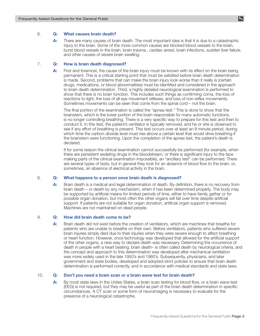#### 6. **Q: What causes brain death?**

**A:** There are many causes of brain death. The most important idea is that it is due to a catastrophic injury to the brain. Some of the more common causes are blocked blood vessels to the brain, burst blood vessels in the brain, brain trauma , cardiac arrest, brain infections, sudden liver failure, and other causes of severe brain swelling.

#### 7. **Q: How is brain death diagnosed?**

**A:** First and foremost, the cause of the brain injury must be known with its effect on the brain being permanent. This is a critical starting point that must be satisfied before brain death determination is made. Second, problems that can make the brain injury look worse than it really is (certain drugs, medications, or blood abnormalities) must be identified and considered in the approach to brain death determination. Third, a highly detailed neurological examination is performed to show that there is no brain function. This includes such things as confirming coma, the loss of reactions to light, the loss of all eye movement reflexes, and loss of non-reflex movements. Sometimes movements can be seen that come from the spinal cord – not the brain.

 The final portion of the examination is called the "apnea test." This is done to show that the brainstem, which is the lower portion of the brain responsible for many automatic functions, is no longer controlling breathing. There is a very specific way to prepare for this test and then to conduct it. In this test, the patient's ventilator is typically removed, and he or she is observed to see if any effort of breathing is present. This test occurs over at least an 8 minute period, during which time the carbon dioxide level must rise above a certain level that would drive breathing if the brainstem were functioning. Upon the completion of the apnea test, the patient's death is declared.

 If for some reason the clinical examination cannot successfully be performed (for example, when there are persistent sedating drugs in the bloodstream, or there is significant injury to the face making parts of the clinical examination impossible), an "ancillary test" can be performed. There are several types of tests, but in general they look for an absence of blood flow to the brain, or, sometimes, an absence of electrical activity in the brain.

### 8. **Q: What happens to a person once brain death is diagnosed?**

**A:** Brain death is a medical and legal determination of death. By definition, there is no recovery from brain death – or death by any mechanism, when it has been determined properly. The body may be supported by artificial means for limited periods of time, either to have family gather or for possible organ donation, but most often the other organs will fail over time despite artificial support. If patients are not suitable for organ donation, artificial organ support is removed. Machines are not maintained on dead people.

#### 9. **Q: How did brain death come to be?**

**A:** Brain death did not exist before the creation of ventilators, which are machines that breathe for patients who are unable to breathe on their own. Before ventilators, patients who suffered severe brain injuries simply died due to their injuries when they were severe enough to affect breathing or heart function. However, once technology was developed that allowed for the artificial support of the other organs, a new way to declare death was necessary. Determining the occurrence of death in people with a heart beating, brain death– is often called death by neurological criteria, and the concept and approach to this determination was developed after mechanical ventilation was more widely used in the late 1950's and 1960's. Subsequently, physicians, and later government and state bodies, developed and adopted strict policies to ensure that brain death determination is performed correctly, and in accordance with medical standards and state laws.

#### 10. **Q: Don't you need a brain scan or a brain wave test for brain death?**

**A:** By most state laws in the Unites States, a brain scan testing for blood flow, or a brain wave test (EEG) is not required, but they may be useful as part of the brain death determination in specific circumstances. A CT scan or some form of neuroimaging is necessary to evaluate for the presence of a neurological catastrophe.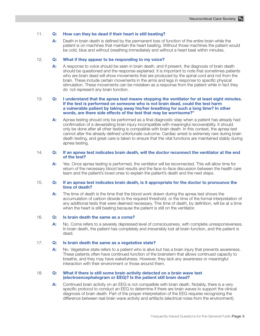## 11. **Q: How can they be dead if their heart is still beating?**

**A:** Death in brain death is defined by the permanent loss of function of the entire brain while the patient is on machines that maintain the heart beating. Without those machines the patient would be cold, blue and without breathing immediately and without a heart beat within minutes.

## 12. **Q: What if they appear to be responding to my voice?**

**A:** A response to voice should be seen in brain death, and if present, the diagnosis of brain death should be questioned and the response explained. It is important to note that sometimes patients who are brain dead will show movements that are produced by the spinal cord and not from the brain. These include certain movements in the arms and legs in response to specific physical stimulation. These movements can be mistaken as a response from the patient while in fact they do not represent any brain function.

#### 13. **Q: I understand that the apnea test means stopping the ventilator for at least eight minutes. If the test is performed on someone who is not brain dead, could the test harm a vulnerable patient by taking away his/her breathing for such a long time? In other words, are there side effects of the test that may be worrisome?"**

**A:** Apnea testing should only be performed as a final diagnostic step when a patient has already had confirmation of a devastating brain injury incompatible with meaningful recoverability. It should only be done after all other testing is compatible with brain death. In this context, the apnea test cannot alter the already defined unfortunate outcome. Cardiac arrest is extremely rare during brain death testing, and great care is taken to ensure that the vital functions are maintained stably during apnea testing.

## 14. **Q: If an apnea test indicates brain death, will the doctor reconnect the ventilator at the end of the test?**

**A:** Yes. Once apnea testing is performed, the ventilator will be reconnected. This will allow time for return of the necessary blood test results and the face-to-face discussion between the health care team and the patient's loved ones to explain the patient's death and the next steps.

#### 15. **Q: If an apnea test indicates brain death, is it appropriate for the doctor to pronounce the time of death?**

**A:** The time of death is the time that the blood work drawn during the apnea test shows the accumulation of carbon dioxide to the required threshold, or the time of the formal interpretation of any additional tests that were deemed necessary. This time of death, by definition, will be at a time when the heart is still beating because the patient is still on the ventilator.

#### 16. **Q: Is brain death the same as a coma?**

A: No. Coma refers to a severely depressed level of consciousness, with complete unresponsiveness. In brain death, the patient has completely and irreversibly lost all brain function, and the patient is dead.

#### 17. **Q: Is brain death the same as a vegetative state?**

**A:** No. Vegetative state refers to a patient who is alive but has a brain injury that prevents awareness. These patients often have continued function of the brainstem that allows continued capacity to breathe, and they may have wakefulness. However, they lack any awareness or meaningful interaction with their environment or those around them.

#### 18. **Q: What if there is still some brain activity detected on a brain wave test (electroencephalogram or EEG)? Is the patient still brain dead?**

**A:** Continued brain activity on an EEG is not compatible with brain death. Notably, there is a very specific protocol to conduct an EEG to determine if there are brain waves to support the clinical diagnosis of brain death. Part of the proper interpretation of the EEG requires recognizing the difference between real brain wave activity and artifacts (electrical noise from the environment).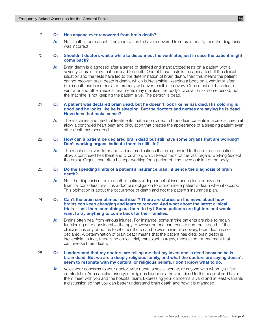### 19. **Q: Has anyone ever recovered from brain death?**

**A:** No. Death is permanent. If anyone claims to have recovered from brain death, then the diagnosis was incorrect.

## 20. **Q: Shouldn't doctors wait a while to disconnect the ventilator, just in case the patient might come back?**

**A:** Brain death is diagnosed after a series of defined and standardized tests on a patient with a severity of brain injury that can lead to death. One of these tests is the apnea test. If the clinical situation and the tests have led to the determination of brain death, then this means the patient cannot recover; brain death is death, which is irreversible. Keeping a body on a ventilator after brain death has been declared properly will never result in recovery. Once a patient has died, a ventilator and other medical treatments may maintain the body's circulation for some period, but the machine is not keeping the patient alive. The person is dead.

#### 21. **Q: A patient was declared brain dead, but he doesn't look like he has died. His coloring is good and he looks like he is sleeping. But the doctors and nurses are saying he is dead. How does that make sense?**

**A:** The machines and medical treatments that are provided to brain dead patients in a critical care unit allow a continued heart beat and circulation that creates the appearance of a sleeping patient even after death has occurred.

## 22. **Q: How can a patient be declared brain dead but still have some organs that are working? Don't working organs indicate there is still life?**

**A:** The mechanical ventilator and various medications that are provided to the brain dead patient allow a continued heartbeat and circulation, which keeps most of the vital organs working (except the brain). Organs can often be kept working for a period of time, even outside of the body.

### 23. **Q: Do the spending limits of a patient's insurance plan influence the diagnosis of brain death?**

**A:** No. The diagnosis of brain death is entirely independent of insurance plans or any other financial considerations. It is a doctor's obligation to pronounce a patient's death when it occurs. This obligation is about the occurrence of death and not the patient's insurance plan.

#### 24. **Q: Can't the brain sometimes heal itself? There are stories on the news about how brains can keep changing and learn to recover. And what about the latest clinical trials – isn't there something out there to try? Some patients are fighters and would want to try anything to come back for their families.**

**A:** Brains often heal from various injuries. For instance, some stroke patients are able to regain functioning after considerable therapy. However no one can recover from brain death. If the clinician has any doubt as to whether there can be even minimal recovery, brain death is not declared. A determination of brain death means that the patient has died; brain death is irreversible. In fact, there is no clinical trial, transplant, surgery, medication, or treatment that can reverse brain death.

## 25. **Q: I understand that my doctors are telling me that my loved one is dead because he is brain dead. But we are a deeply religious family, and what the doctors are saying doesn't seem to resonate with my cultural or religious beliefs. I don't know what to do.**

**A:** Voice your concerns to your doctor, your nurse, a social worker, or anyone with whom you feel comfortable. You can also bring your religious leader or a trusted friend to the hospital and have them meet with you and the hospital team. Expressing your concerns is valid and at least warrants a discussion so that you can better understand brain death and how it is managed.